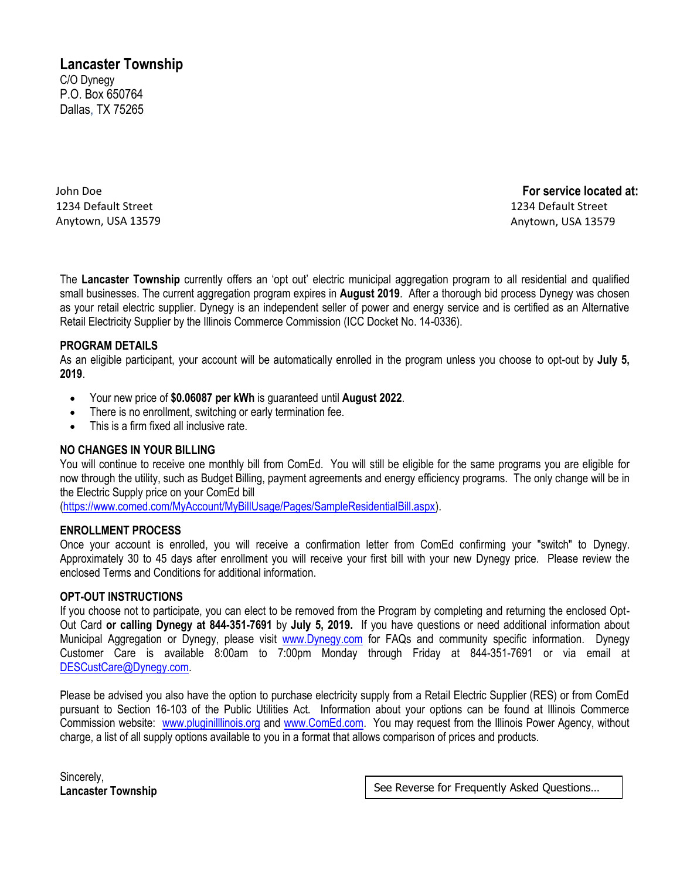# **Lancaster Township**

C/O Dynegy P.O. Box 650764 Dallas, TX 75265

John Doe 1234 Default Street Anytown, USA 13579

**For service located at:**  1234 Default Street Anytown, USA 13579

The **Lancaster Township** currently offers an 'opt out' electric municipal aggregation program to all residential and qualified small businesses. The current aggregation program expires in **August 2019**. After a thorough bid process Dynegy was chosen as your retail electric supplier. Dynegy is an independent seller of power and energy service and is certified as an Alternative Retail Electricity Supplier by the Illinois Commerce Commission (ICC Docket No. 14-0336).

## **PROGRAM DETAILS**

As an eligible participant, your account will be automatically enrolled in the program unless you choose to opt-out by **July 5, 2019**.

- Your new price of **\$0.06087 per kWh** is guaranteed until **August 2022**.
- There is no enrollment, switching or early termination fee.
- This is a firm fixed all inclusive rate.

## **NO CHANGES IN YOUR BILLING**

You will continue to receive one monthly bill from ComEd. You will still be eligible for the same programs you are eligible for now through the utility, such as Budget Billing, payment agreements and energy efficiency programs. The only change will be in the Electric Supply price on your ComEd bill

[\(https://www.comed.com/MyAccount/MyBillUsage/Pages/SampleResidentialBill.aspx\)](https://www.comed.com/MyAccount/MyBillUsage/Pages/SampleResidentialBill.aspx).

## **ENROLLMENT PROCESS**

Once your account is enrolled, you will receive a confirmation letter from ComEd confirming your "switch" to Dynegy. Approximately 30 to 45 days after enrollment you will receive your first bill with your new Dynegy price. Please review the enclosed Terms and Conditions for additional information.

## **OPT-OUT INSTRUCTIONS**

If you choose not to participate, you can elect to be removed from the Program by completing and returning the enclosed Opt-Out Card **or calling Dynegy at 844-351-7691** by **July 5, 2019.** If you have questions or need additional information about Municipal Aggregation or Dynegy, please visit [www.Dynegy.com](http://www.dynegyenergyservices.com/) for FAQs and community specific information. Dynegy Customer Care is available 8:00am to 7:00pm Monday through Friday at 844-351-7691 or via email at [DESCustCare@Dynegy.com.](mailto:DESCustCare@Dynegy.com)

Please be advised you also have the option to purchase electricity supply from a Retail Electric Supplier (RES) or from ComEd pursuant to Section 16-103 of the Public Utilities Act. Information about your options can be found at Illinois Commerce Commission website: [www.pluginilllinois.org](http://www.pluginilllinois.org/) and [www.ComEd.com.](http://www.comed.com/) You may request from the Illinois Power Agency, without charge, a list of all supply options available to you in a format that allows comparison of prices and products.

Sincerely,

Lancaster Township **See Reverse for Frequently Asked Questions...** | See Reverse for Frequently Asked Questions...